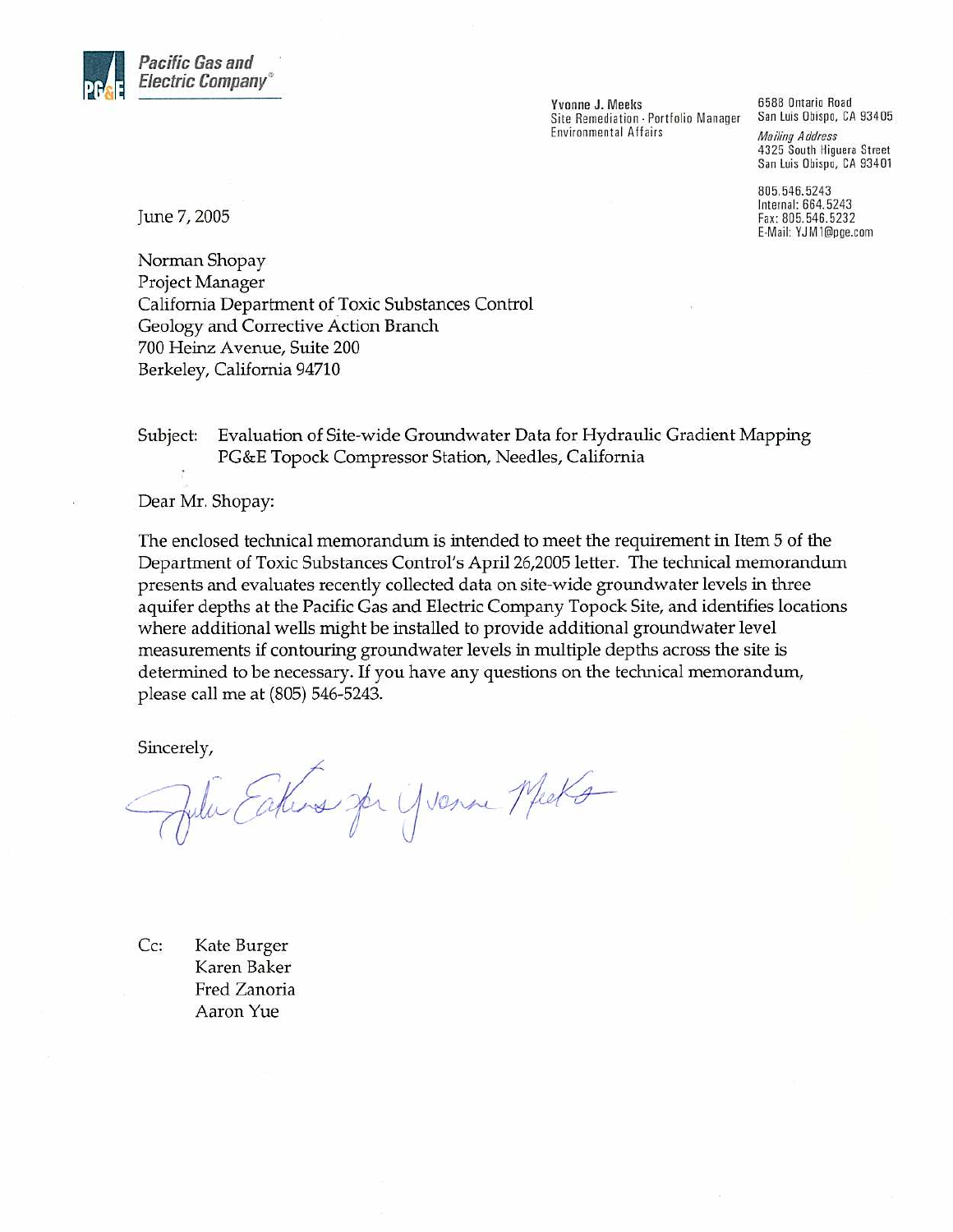

Yvonne J. Meeks Site Remediation - Portfolio Manager **Environmental Affairs** 

6588 Ontario Road San Luis Obispo, CA 93405 **Mailing Address** 4325 South Higuera Street San Luis Obispo, CA 93401

805.546.5243 Internal: 664.5243 Fax: 805.546.5232 E-Mail: YJM1@pge.com

June 7, 2005

Norman Shopay Project Manager California Department of Toxic Substances Control Geology and Corrective Action Branch 700 Heinz Avenue, Suite 200 Berkeley, California 94710

Evaluation of Site-wide Groundwater Data for Hydraulic Gradient Mapping Subject: PG&E Topock Compressor Station, Needles, California

Dear Mr. Shopay:

The enclosed technical memorandum is intended to meet the requirement in Item 5 of the Department of Toxic Substances Control's April 26,2005 letter. The technical memorandum presents and evaluates recently collected data on site-wide groundwater levels in three aquifer depths at the Pacific Gas and Electric Company Topock Site, and identifies locations where additional wells might be installed to provide additional groundwater level measurements if contouring groundwater levels in multiple depths across the site is determined to be necessary. If you have any questions on the technical memorandum, please call me at (805) 546-5243.

Sincerely,

Julie Eakers for yverne Meets

 $Cc:$ Kate Burger Karen Baker Fred Zanoria Aaron Yue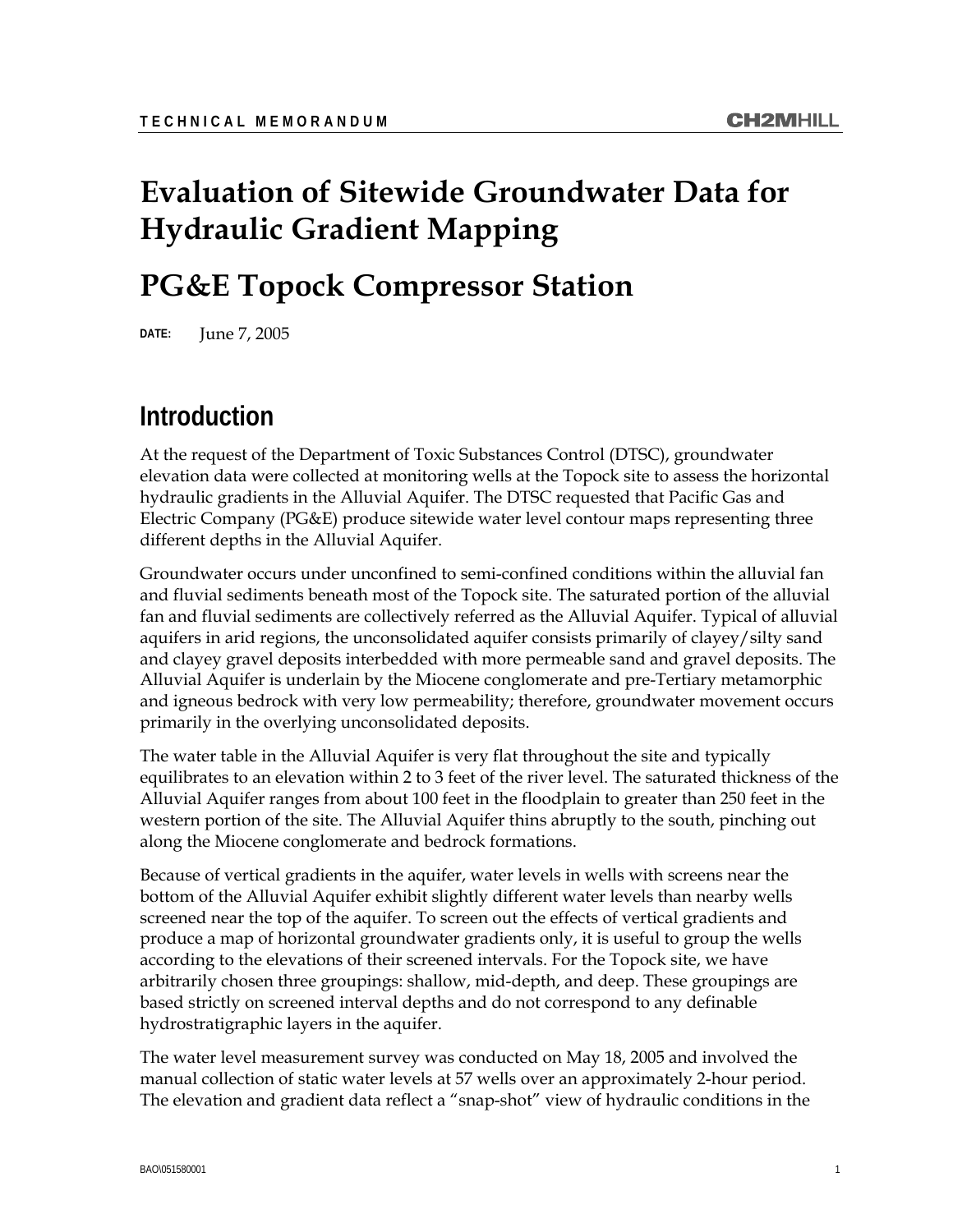# **Evaluation of Sitewide Groundwater Data for Hydraulic Gradient Mapping**

# **PG&E Topock Compressor Station**

**DATE:** June 7, 2005

### **Introduction**

At the request of the Department of Toxic Substances Control (DTSC), groundwater elevation data were collected at monitoring wells at the Topock site to assess the horizontal hydraulic gradients in the Alluvial Aquifer. The DTSC requested that Pacific Gas and Electric Company (PG&E) produce sitewide water level contour maps representing three different depths in the Alluvial Aquifer.

Groundwater occurs under unconfined to semi-confined conditions within the alluvial fan and fluvial sediments beneath most of the Topock site. The saturated portion of the alluvial fan and fluvial sediments are collectively referred as the Alluvial Aquifer. Typical of alluvial aquifers in arid regions, the unconsolidated aquifer consists primarily of clayey/silty sand and clayey gravel deposits interbedded with more permeable sand and gravel deposits. The Alluvial Aquifer is underlain by the Miocene conglomerate and pre-Tertiary metamorphic and igneous bedrock with very low permeability; therefore, groundwater movement occurs primarily in the overlying unconsolidated deposits.

The water table in the Alluvial Aquifer is very flat throughout the site and typically equilibrates to an elevation within 2 to 3 feet of the river level. The saturated thickness of the Alluvial Aquifer ranges from about 100 feet in the floodplain to greater than 250 feet in the western portion of the site. The Alluvial Aquifer thins abruptly to the south, pinching out along the Miocene conglomerate and bedrock formations.

Because of vertical gradients in the aquifer, water levels in wells with screens near the bottom of the Alluvial Aquifer exhibit slightly different water levels than nearby wells screened near the top of the aquifer. To screen out the effects of vertical gradients and produce a map of horizontal groundwater gradients only, it is useful to group the wells according to the elevations of their screened intervals. For the Topock site, we have arbitrarily chosen three groupings: shallow, mid-depth, and deep. These groupings are based strictly on screened interval depths and do not correspond to any definable hydrostratigraphic layers in the aquifer.

The water level measurement survey was conducted on May 18, 2005 and involved the manual collection of static water levels at 57 wells over an approximately 2-hour period. The elevation and gradient data reflect a "snap-shot" view of hydraulic conditions in the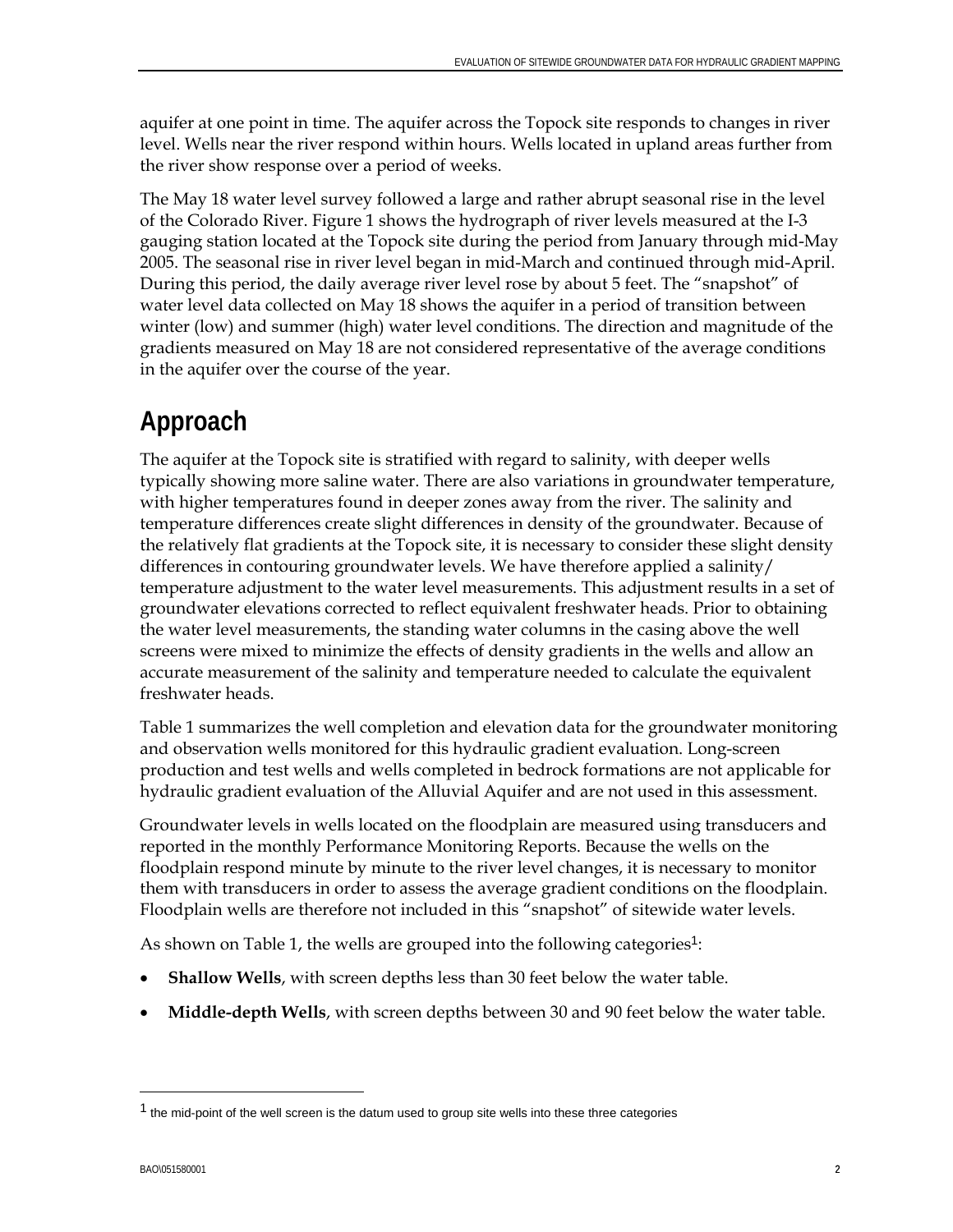aquifer at one point in time. The aquifer across the Topock site responds to changes in river level. Wells near the river respond within hours. Wells located in upland areas further from the river show response over a period of weeks.

The May 18 water level survey followed a large and rather abrupt seasonal rise in the level of the Colorado River. Figure 1 shows the hydrograph of river levels measured at the I-3 gauging station located at the Topock site during the period from January through mid-May 2005. The seasonal rise in river level began in mid-March and continued through mid-April. During this period, the daily average river level rose by about 5 feet. The "snapshot" of water level data collected on May 18 shows the aquifer in a period of transition between winter (low) and summer (high) water level conditions. The direction and magnitude of the gradients measured on May 18 are not considered representative of the average conditions in the aquifer over the course of the year.

# **Approach**

The aquifer at the Topock site is stratified with regard to salinity, with deeper wells typically showing more saline water. There are also variations in groundwater temperature, with higher temperatures found in deeper zones away from the river. The salinity and temperature differences create slight differences in density of the groundwater. Because of the relatively flat gradients at the Topock site, it is necessary to consider these slight density differences in contouring groundwater levels. We have therefore applied a salinity/ temperature adjustment to the water level measurements. This adjustment results in a set of groundwater elevations corrected to reflect equivalent freshwater heads. Prior to obtaining the water level measurements, the standing water columns in the casing above the well screens were mixed to minimize the effects of density gradients in the wells and allow an accurate measurement of the salinity and temperature needed to calculate the equivalent freshwater heads.

Table 1 summarizes the well completion and elevation data for the groundwater monitoring and observation wells monitored for this hydraulic gradient evaluation. Long-screen production and test wells and wells completed in bedrock formations are not applicable for hydraulic gradient evaluation of the Alluvial Aquifer and are not used in this assessment.

Groundwater levels in wells located on the floodplain are measured using transducers and reported in the monthly Performance Monitoring Reports. Because the wells on the floodplain respond minute by minute to the river level changes, it is necessary to monitor them with transducers in order to assess the average gradient conditions on the floodplain. Floodplain wells are therefore not included in this "snapshot" of sitewide water levels.

As shown on Table [1](#page-2-0), the wells are grouped into the following categories<sup>1</sup>:

- **Shallow Wells**, with screen depths less than 30 feet below the water table.
- **Middle-depth Wells**, with screen depths between 30 and 90 feet below the water table.

-

<span id="page-2-0"></span> $<sup>1</sup>$  the mid-point of the well screen is the datum used to group site wells into these three categories</sup>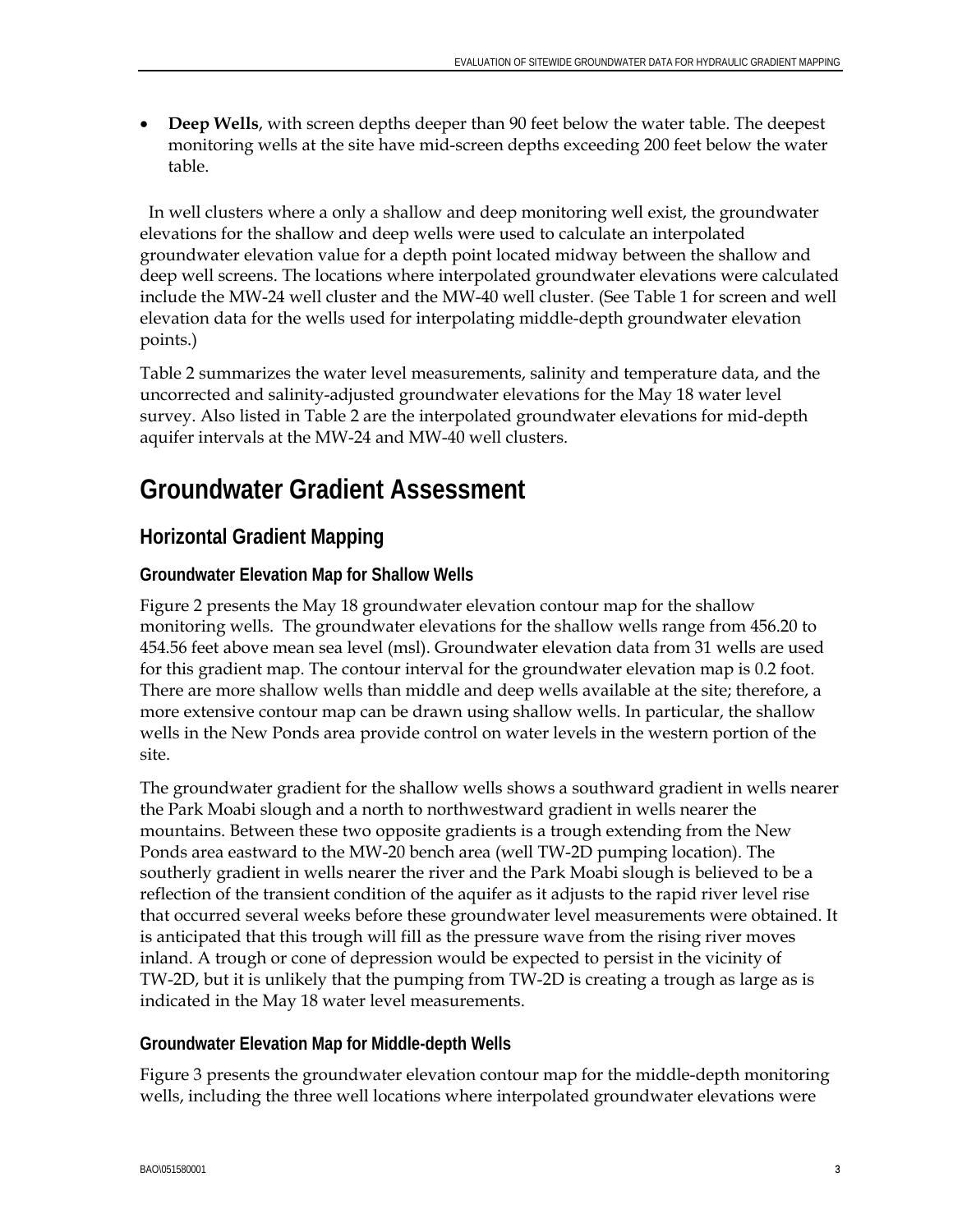• **Deep Wells**, with screen depths deeper than 90 feet below the water table. The deepest monitoring wells at the site have mid-screen depths exceeding 200 feet below the water table.

 In well clusters where a only a shallow and deep monitoring well exist, the groundwater elevations for the shallow and deep wells were used to calculate an interpolated groundwater elevation value for a depth point located midway between the shallow and deep well screens. The locations where interpolated groundwater elevations were calculated include the MW-24 well cluster and the MW-40 well cluster. (See Table 1 for screen and well elevation data for the wells used for interpolating middle-depth groundwater elevation points.)

Table 2 summarizes the water level measurements, salinity and temperature data, and the uncorrected and salinity-adjusted groundwater elevations for the May 18 water level survey. Also listed in Table 2 are the interpolated groundwater elevations for mid-depth aquifer intervals at the MW-24 and MW-40 well clusters.

# **Groundwater Gradient Assessment**

### **Horizontal Gradient Mapping**

### **Groundwater Elevation Map for Shallow Wells**

Figure 2 presents the May 18 groundwater elevation contour map for the shallow monitoring wells. The groundwater elevations for the shallow wells range from 456.20 to 454.56 feet above mean sea level (msl). Groundwater elevation data from 31 wells are used for this gradient map. The contour interval for the groundwater elevation map is 0.2 foot. There are more shallow wells than middle and deep wells available at the site; therefore, a more extensive contour map can be drawn using shallow wells. In particular, the shallow wells in the New Ponds area provide control on water levels in the western portion of the site.

The groundwater gradient for the shallow wells shows a southward gradient in wells nearer the Park Moabi slough and a north to northwestward gradient in wells nearer the mountains. Between these two opposite gradients is a trough extending from the New Ponds area eastward to the MW-20 bench area (well TW-2D pumping location). The southerly gradient in wells nearer the river and the Park Moabi slough is believed to be a reflection of the transient condition of the aquifer as it adjusts to the rapid river level rise that occurred several weeks before these groundwater level measurements were obtained. It is anticipated that this trough will fill as the pressure wave from the rising river moves inland. A trough or cone of depression would be expected to persist in the vicinity of TW-2D, but it is unlikely that the pumping from TW-2D is creating a trough as large as is indicated in the May 18 water level measurements.

### **Groundwater Elevation Map for Middle-depth Wells**

Figure 3 presents the groundwater elevation contour map for the middle-depth monitoring wells, including the three well locations where interpolated groundwater elevations were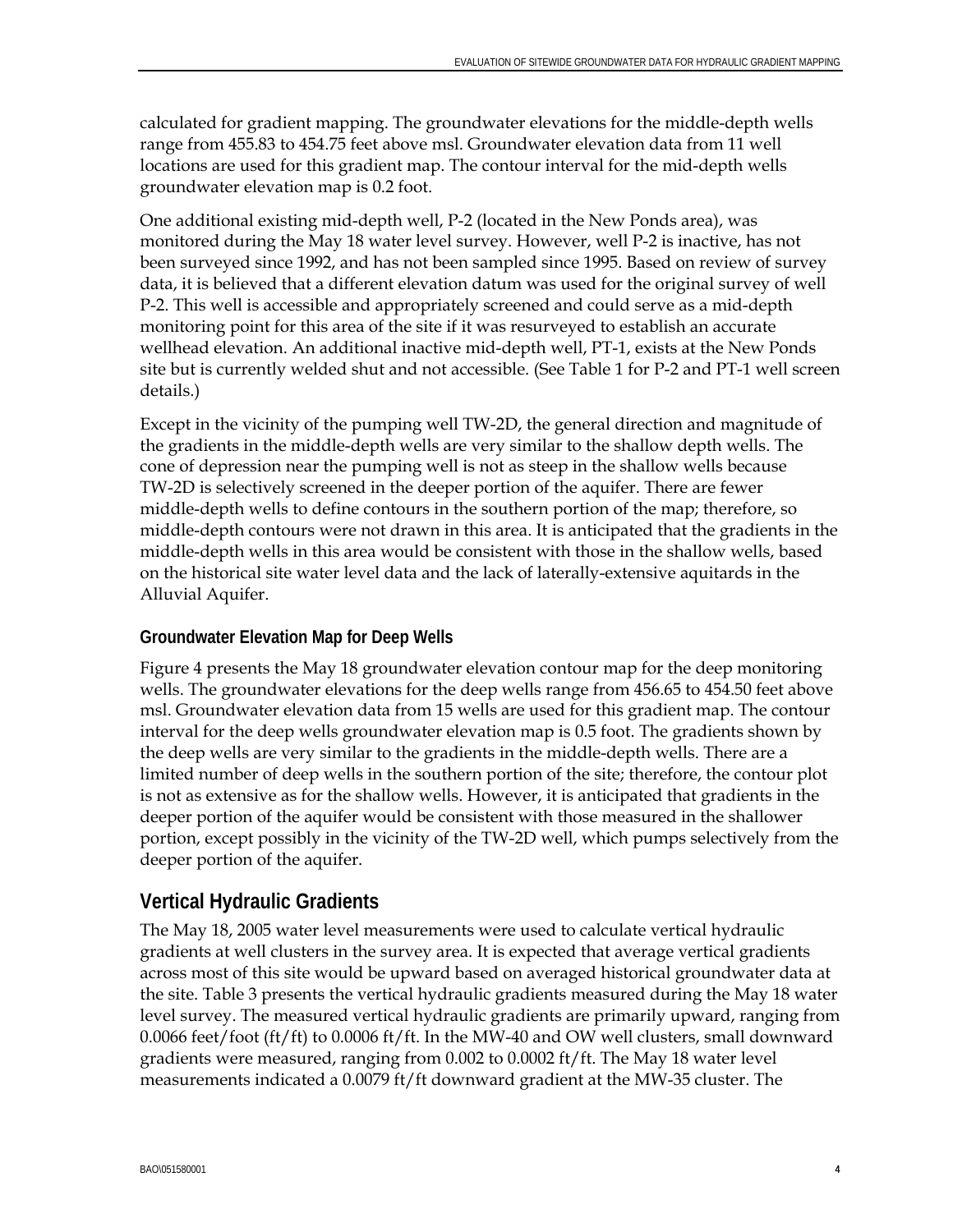calculated for gradient mapping. The groundwater elevations for the middle-depth wells range from 455.83 to 454.75 feet above msl. Groundwater elevation data from 11 well locations are used for this gradient map. The contour interval for the mid-depth wells groundwater elevation map is 0.2 foot.

One additional existing mid-depth well, P-2 (located in the New Ponds area), was monitored during the May 18 water level survey. However, well P-2 is inactive, has not been surveyed since 1992, and has not been sampled since 1995. Based on review of survey data, it is believed that a different elevation datum was used for the original survey of well P-2. This well is accessible and appropriately screened and could serve as a mid-depth monitoring point for this area of the site if it was resurveyed to establish an accurate wellhead elevation. An additional inactive mid-depth well, PT-1, exists at the New Ponds site but is currently welded shut and not accessible. (See Table 1 for P-2 and PT-1 well screen details.)

Except in the vicinity of the pumping well TW-2D, the general direction and magnitude of the gradients in the middle-depth wells are very similar to the shallow depth wells. The cone of depression near the pumping well is not as steep in the shallow wells because TW-2D is selectively screened in the deeper portion of the aquifer. There are fewer middle-depth wells to define contours in the southern portion of the map; therefore, so middle-depth contours were not drawn in this area. It is anticipated that the gradients in the middle-depth wells in this area would be consistent with those in the shallow wells, based on the historical site water level data and the lack of laterally-extensive aquitards in the Alluvial Aquifer.

### **Groundwater Elevation Map for Deep Wells**

Figure 4 presents the May 18 groundwater elevation contour map for the deep monitoring wells. The groundwater elevations for the deep wells range from 456.65 to 454.50 feet above msl. Groundwater elevation data from 15 wells are used for this gradient map. The contour interval for the deep wells groundwater elevation map is 0.5 foot. The gradients shown by the deep wells are very similar to the gradients in the middle-depth wells. There are a limited number of deep wells in the southern portion of the site; therefore, the contour plot is not as extensive as for the shallow wells. However, it is anticipated that gradients in the deeper portion of the aquifer would be consistent with those measured in the shallower portion, except possibly in the vicinity of the TW-2D well, which pumps selectively from the deeper portion of the aquifer.

### **Vertical Hydraulic Gradients**

The May 18, 2005 water level measurements were used to calculate vertical hydraulic gradients at well clusters in the survey area. It is expected that average vertical gradients across most of this site would be upward based on averaged historical groundwater data at the site. Table 3 presents the vertical hydraulic gradients measured during the May 18 water level survey. The measured vertical hydraulic gradients are primarily upward, ranging from 0.0066 feet/foot (ft/ft) to 0.0006 ft/ft. In the MW-40 and OW well clusters, small downward gradients were measured, ranging from 0.002 to 0.0002 ft/ft. The May 18 water level measurements indicated a 0.0079 ft/ft downward gradient at the MW-35 cluster. The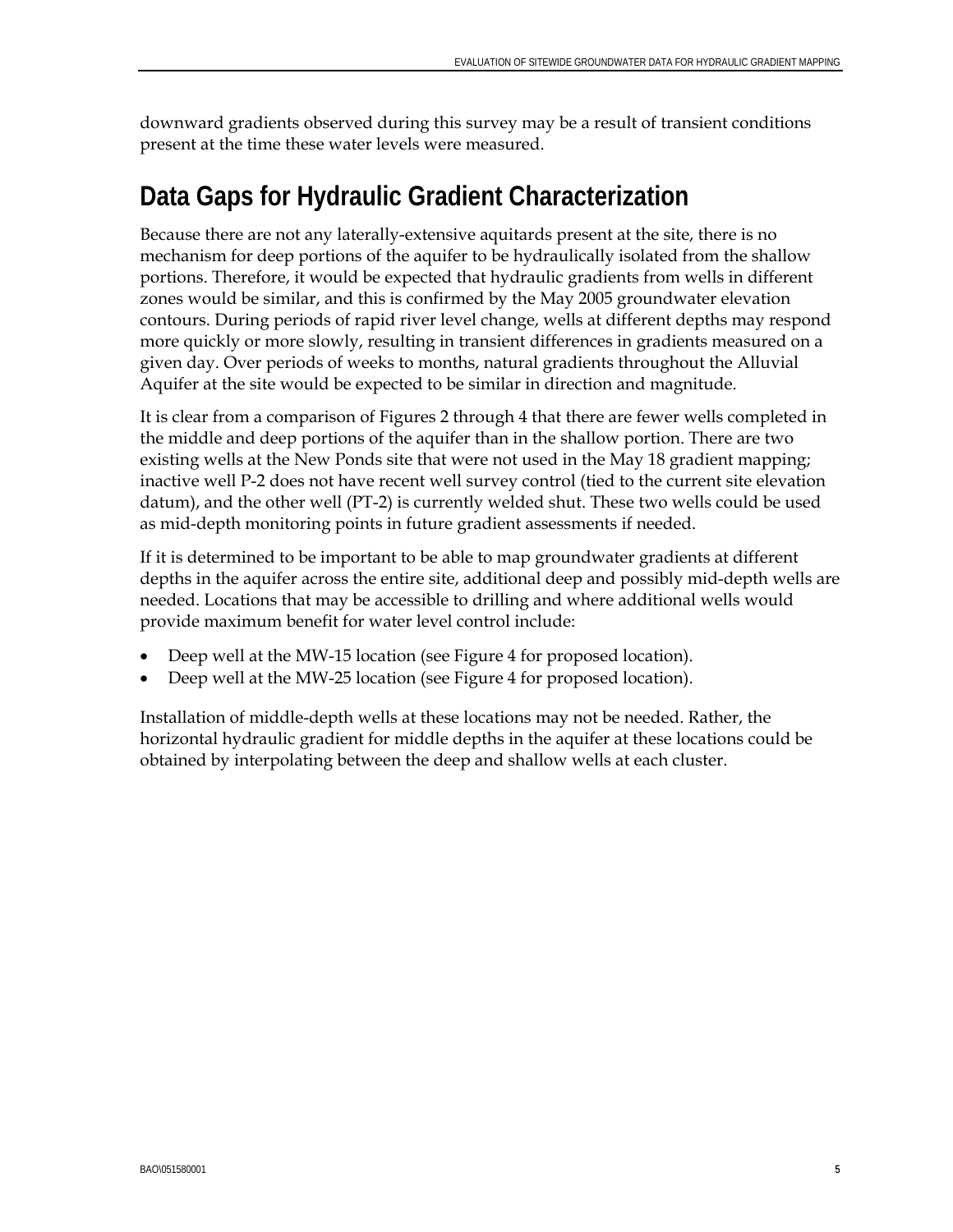downward gradients observed during this survey may be a result of transient conditions present at the time these water levels were measured.

# **Data Gaps for Hydraulic Gradient Characterization**

Because there are not any laterally-extensive aquitards present at the site, there is no mechanism for deep portions of the aquifer to be hydraulically isolated from the shallow portions. Therefore, it would be expected that hydraulic gradients from wells in different zones would be similar, and this is confirmed by the May 2005 groundwater elevation contours. During periods of rapid river level change, wells at different depths may respond more quickly or more slowly, resulting in transient differences in gradients measured on a given day. Over periods of weeks to months, natural gradients throughout the Alluvial Aquifer at the site would be expected to be similar in direction and magnitude.

It is clear from a comparison of Figures 2 through 4 that there are fewer wells completed in the middle and deep portions of the aquifer than in the shallow portion. There are two existing wells at the New Ponds site that were not used in the May 18 gradient mapping; inactive well P-2 does not have recent well survey control (tied to the current site elevation datum), and the other well (PT-2) is currently welded shut. These two wells could be used as mid-depth monitoring points in future gradient assessments if needed.

If it is determined to be important to be able to map groundwater gradients at different depths in the aquifer across the entire site, additional deep and possibly mid-depth wells are needed. Locations that may be accessible to drilling and where additional wells would provide maximum benefit for water level control include:

- Deep well at the MW-15 location (see Figure 4 for proposed location).
- Deep well at the MW-25 location (see Figure 4 for proposed location).

Installation of middle-depth wells at these locations may not be needed. Rather, the horizontal hydraulic gradient for middle depths in the aquifer at these locations could be obtained by interpolating between the deep and shallow wells at each cluster.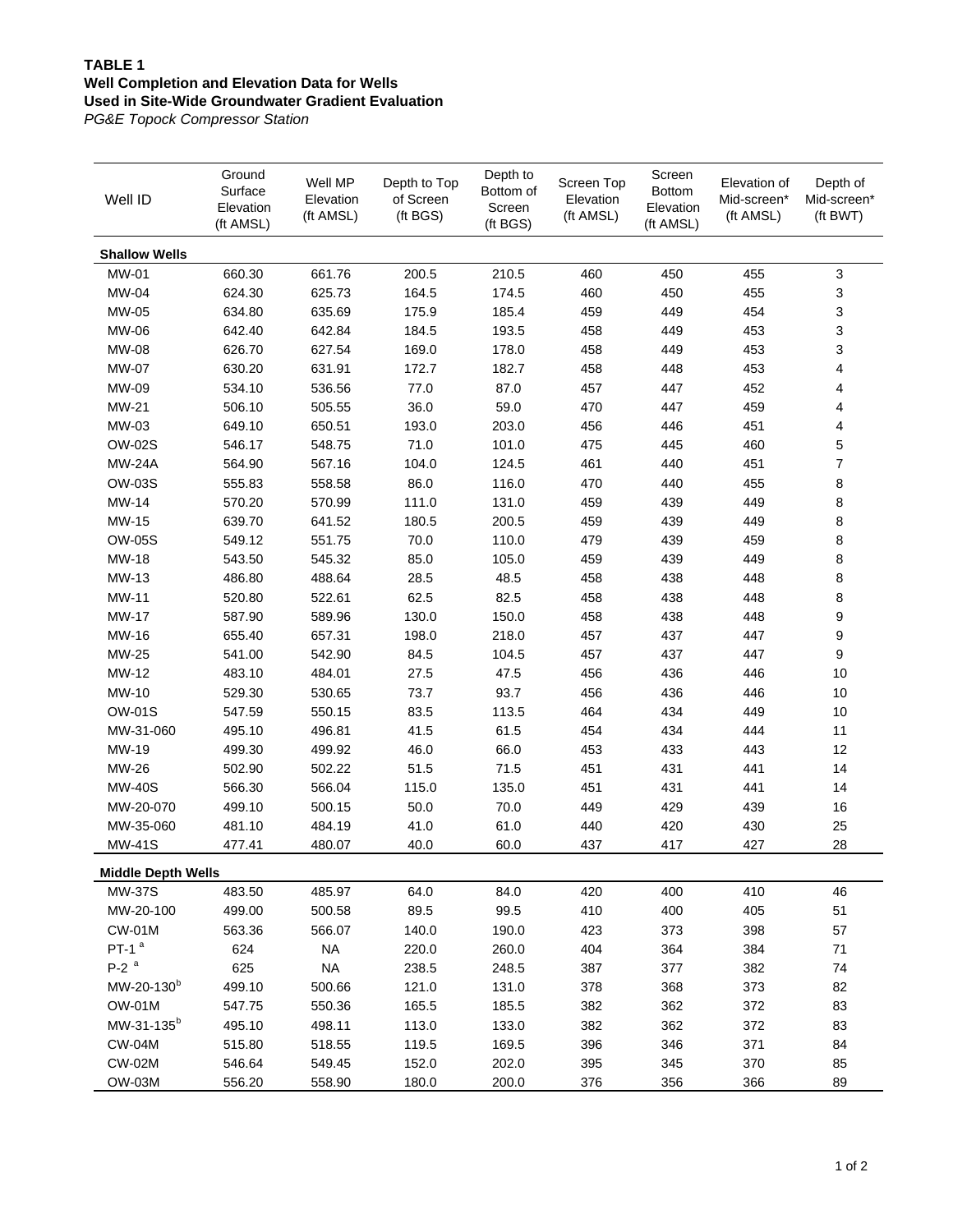### **TABLE 1 Well Completion and Elevation Data for Wells Used in Site-Wide Groundwater Gradient Evaluation**

*PG&E Topock Compressor Station*

| Well ID                   | Ground<br>Surface<br>Elevation<br>(ft AMSL) | Well MP<br>Elevation<br>(ft AMSL) | Depth to Top<br>of Screen<br>(ft BGS) | Depth to<br>Bottom of<br>Screen<br>(ft BGS) | Screen Top<br>Elevation<br>(ft AMSL) | Screen<br><b>Bottom</b><br>Elevation<br>(ft AMSL) | Elevation of<br>Mid-screen*<br>(ft AMSL) | Depth of<br>Mid-screen*<br>(ft BWT) |
|---------------------------|---------------------------------------------|-----------------------------------|---------------------------------------|---------------------------------------------|--------------------------------------|---------------------------------------------------|------------------------------------------|-------------------------------------|
| <b>Shallow Wells</b>      |                                             |                                   |                                       |                                             |                                      |                                                   |                                          |                                     |
| <b>MW-01</b>              | 660.30                                      | 661.76                            | 200.5                                 | 210.5                                       | 460                                  | 450                                               | 455                                      | $\ensuremath{\mathsf{3}}$           |
| MW-04                     | 624.30                                      | 625.73                            | 164.5                                 | 174.5                                       | 460                                  | 450                                               | 455                                      | 3                                   |
| MW-05                     | 634.80                                      | 635.69                            | 175.9                                 | 185.4                                       | 459                                  | 449                                               | 454                                      | 3                                   |
| MW-06                     | 642.40                                      | 642.84                            | 184.5                                 | 193.5                                       | 458                                  | 449                                               | 453                                      | 3                                   |
| <b>MW-08</b>              | 626.70                                      | 627.54                            | 169.0                                 | 178.0                                       | 458                                  | 449                                               | 453                                      | 3                                   |
| <b>MW-07</b>              | 630.20                                      | 631.91                            | 172.7                                 | 182.7                                       | 458                                  | 448                                               | 453                                      | 4                                   |
| MW-09                     | 534.10                                      | 536.56                            | 77.0                                  | 87.0                                        | 457                                  | 447                                               | 452                                      | 4                                   |
| MW-21                     | 506.10                                      | 505.55                            | 36.0                                  | 59.0                                        | 470                                  | 447                                               | 459                                      | 4                                   |
| MW-03                     | 649.10                                      | 650.51                            | 193.0                                 | 203.0                                       | 456                                  | 446                                               | 451                                      | 4                                   |
| <b>OW-02S</b>             | 546.17                                      | 548.75                            | 71.0                                  | 101.0                                       | 475                                  | 445                                               | 460                                      | 5                                   |
| <b>MW-24A</b>             | 564.90                                      | 567.16                            | 104.0                                 | 124.5                                       | 461                                  | 440                                               | 451                                      | $\overline{\mathcal{I}}$            |
| <b>OW-03S</b>             | 555.83                                      | 558.58                            | 86.0                                  | 116.0                                       | 470                                  | 440                                               | 455                                      | 8                                   |
| MW-14                     | 570.20                                      | 570.99                            | 111.0                                 | 131.0                                       | 459                                  | 439                                               | 449                                      | 8                                   |
| MW-15                     | 639.70                                      | 641.52                            | 180.5                                 | 200.5                                       | 459                                  | 439                                               | 449                                      | 8                                   |
| <b>OW-05S</b>             | 549.12                                      | 551.75                            | 70.0                                  | 110.0                                       | 479                                  | 439                                               | 459                                      | 8                                   |
| MW-18                     | 543.50                                      | 545.32                            | 85.0                                  | 105.0                                       | 459                                  | 439                                               | 449                                      | 8                                   |
| MW-13                     | 486.80                                      | 488.64                            | 28.5                                  | 48.5                                        | 458                                  | 438                                               | 448                                      | 8                                   |
| MW-11                     | 520.80                                      | 522.61                            | 62.5                                  | 82.5                                        | 458                                  | 438                                               | 448                                      | 8                                   |
| MW-17                     | 587.90                                      | 589.96                            | 130.0                                 | 150.0                                       | 458                                  | 438                                               | 448                                      | 9                                   |
| MW-16                     | 655.40                                      | 657.31                            | 198.0                                 | 218.0                                       | 457                                  | 437                                               | 447                                      | 9                                   |
| MW-25                     | 541.00                                      | 542.90                            | 84.5                                  | 104.5                                       | 457                                  | 437                                               | 447                                      | $\boldsymbol{9}$                    |
| MW-12                     | 483.10                                      | 484.01                            | 27.5                                  | 47.5                                        | 456                                  | 436                                               | 446                                      | 10                                  |
| MW-10                     | 529.30                                      | 530.65                            | 73.7                                  | 93.7                                        | 456                                  | 436                                               | 446                                      | 10                                  |
| <b>OW-01S</b>             | 547.59                                      | 550.15                            | 83.5                                  | 113.5                                       | 464                                  | 434                                               | 449                                      | 10                                  |
| MW-31-060                 | 495.10                                      | 496.81                            | 41.5                                  | 61.5                                        | 454                                  | 434                                               | 444                                      | 11                                  |
| MW-19                     | 499.30                                      | 499.92                            | 46.0                                  | 66.0                                        | 453                                  | 433                                               | 443                                      | 12                                  |
| MW-26                     | 502.90                                      | 502.22                            | 51.5                                  | 71.5                                        | 451                                  | 431                                               | 441                                      | 14                                  |
| <b>MW-40S</b>             | 566.30                                      | 566.04                            | 115.0                                 | 135.0                                       | 451                                  | 431                                               | 441                                      | 14                                  |
| MW-20-070                 | 499.10                                      | 500.15                            | 50.0                                  | 70.0                                        | 449                                  | 429                                               | 439                                      | 16                                  |
| MW-35-060                 | 481.10                                      | 484.19                            | 41.0                                  | 61.0                                        | 440                                  | 420                                               | 430                                      | 25                                  |
| <b>MW-41S</b>             | 477.41                                      | 480.07                            | 40.0                                  | 60.0                                        | 437                                  | 417                                               | 427                                      | 28                                  |
| <b>Middle Depth Wells</b> |                                             |                                   |                                       |                                             |                                      |                                                   |                                          |                                     |
| <b>MW-37S</b>             | 483.50                                      | 485.97                            | 64.0                                  | 84.0                                        | 420                                  | 400                                               | 410                                      | 46                                  |
| MW-20-100                 | 499.00                                      | 500.58                            | 89.5                                  | 99.5                                        | 410                                  | 400                                               | 405                                      | 51                                  |
| <b>CW-01M</b>             | 563.36                                      | 566.07                            | 140.0                                 | 190.0                                       | 423                                  | 373                                               | 398                                      | 57                                  |
| PT-1 $a$                  | 624                                         | <b>NA</b>                         | 220.0                                 | 260.0                                       | 404                                  | 364                                               | 384                                      | 71                                  |
| $P-2$ <sup>a</sup>        | 625                                         | $\sf NA$                          | 238.5                                 | 248.5                                       | 387                                  | 377                                               | 382                                      | 74                                  |
| MW-20-130 <sup>b</sup>    | 499.10                                      | 500.66                            | 121.0                                 | 131.0                                       | 378                                  | 368                                               | 373                                      | 82                                  |
| <b>OW-01M</b>             | 547.75                                      | 550.36                            | 165.5                                 | 185.5                                       | 382                                  | 362                                               | 372                                      | 83                                  |
| MW-31-135 <sup>b</sup>    | 495.10                                      | 498.11                            | 113.0                                 | 133.0                                       | 382                                  | 362                                               | 372                                      | 83                                  |
| <b>CW-04M</b>             | 515.80                                      | 518.55                            | 119.5                                 | 169.5                                       | 396                                  | 346                                               | 371                                      | 84                                  |
| <b>CW-02M</b>             | 546.64                                      | 549.45                            | 152.0                                 | 202.0                                       | 395                                  | 345                                               | 370                                      | 85                                  |
| <b>OW-03M</b>             | 556.20                                      | 558.90                            | 180.0                                 | 200.0                                       | 376                                  | 356                                               | 366                                      | 89                                  |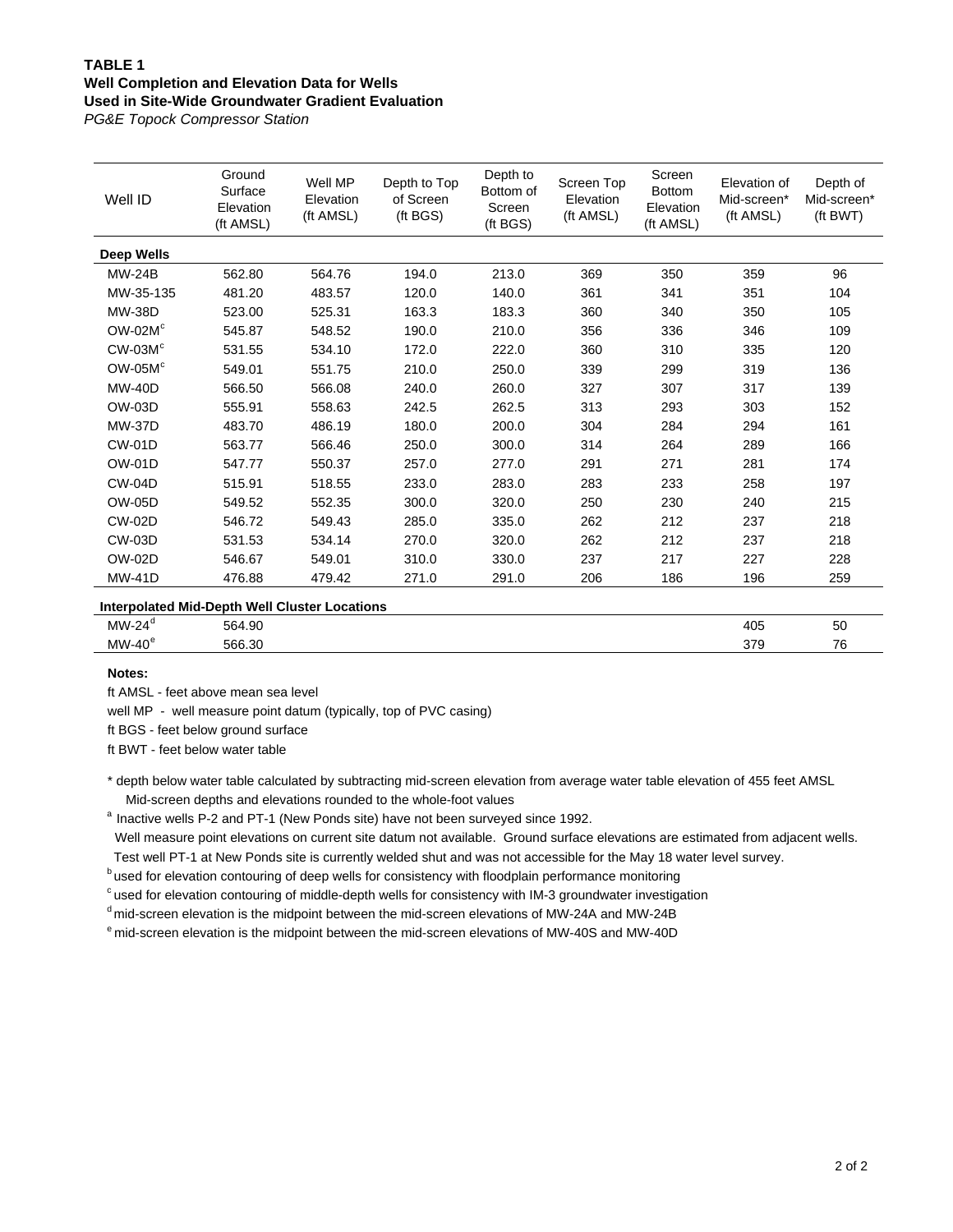### **TABLE 1 Well Completion and Elevation Data for Wells Used in Site-Wide Groundwater Gradient Evaluation**

*PG&E Topock Compressor Station*

| Well ID           | Ground<br>Surface<br>Elevation<br>(ft AMSL) | Well MP<br>Elevation<br>(ft AMSL) | Depth to Top<br>of Screen<br>(ft BGS) | Depth to<br>Bottom of<br>Screen<br>(ft BGS) | Screen Top<br>Elevation<br>(ft AMSL) | Screen<br><b>Bottom</b><br>Elevation<br>(ft AMSL) | Elevation of<br>Mid-screen*<br>(ft AMSL) | Depth of<br>Mid-screen*<br>(ft BWT) |
|-------------------|---------------------------------------------|-----------------------------------|---------------------------------------|---------------------------------------------|--------------------------------------|---------------------------------------------------|------------------------------------------|-------------------------------------|
| <b>Deep Wells</b> |                                             |                                   |                                       |                                             |                                      |                                                   |                                          |                                     |
| <b>MW-24B</b>     | 562.80                                      | 564.76                            | 194.0                                 | 213.0                                       | 369                                  | 350                                               | 359                                      | 96                                  |
| MW-35-135         | 481.20                                      | 483.57                            | 120.0                                 | 140.0                                       | 361                                  | 341                                               | 351                                      | 104                                 |
| <b>MW-38D</b>     | 523.00                                      | 525.31                            | 163.3                                 | 183.3                                       | 360                                  | 340                                               | 350                                      | 105                                 |
| $OW-02Mc$         | 545.87                                      | 548.52                            | 190.0                                 | 210.0                                       | 356                                  | 336                                               | 346                                      | 109                                 |
| $CW-03Mc$         | 531.55                                      | 534.10                            | 172.0                                 | 222.0                                       | 360                                  | 310                                               | 335                                      | 120                                 |
| $OW-05Mc$         | 549.01                                      | 551.75                            | 210.0                                 | 250.0                                       | 339                                  | 299                                               | 319                                      | 136                                 |
| <b>MW-40D</b>     | 566.50                                      | 566.08                            | 240.0                                 | 260.0                                       | 327                                  | 307                                               | 317                                      | 139                                 |
| OW-03D            | 555.91                                      | 558.63                            | 242.5                                 | 262.5                                       | 313                                  | 293                                               | 303                                      | 152                                 |
| <b>MW-37D</b>     | 483.70                                      | 486.19                            | 180.0                                 | 200.0                                       | 304                                  | 284                                               | 294                                      | 161                                 |
| <b>CW-01D</b>     | 563.77                                      | 566.46                            | 250.0                                 | 300.0                                       | 314                                  | 264                                               | 289                                      | 166                                 |
| <b>OW-01D</b>     | 547.77                                      | 550.37                            | 257.0                                 | 277.0                                       | 291                                  | 271                                               | 281                                      | 174                                 |
| <b>CW-04D</b>     | 515.91                                      | 518.55                            | 233.0                                 | 283.0                                       | 283                                  | 233                                               | 258                                      | 197                                 |
| <b>OW-05D</b>     | 549.52                                      | 552.35                            | 300.0                                 | 320.0                                       | 250                                  | 230                                               | 240                                      | 215                                 |
| <b>CW-02D</b>     | 546.72                                      | 549.43                            | 285.0                                 | 335.0                                       | 262                                  | 212                                               | 237                                      | 218                                 |
| <b>CW-03D</b>     | 531.53                                      | 534.14                            | 270.0                                 | 320.0                                       | 262                                  | 212                                               | 237                                      | 218                                 |
| OW-02D            | 546.67                                      | 549.01                            | 310.0                                 | 330.0                                       | 237                                  | 217                                               | 227                                      | 228                                 |
| <b>MW-41D</b>     | 476.88                                      | 479.42                            | 271.0                                 | 291.0                                       | 206                                  | 186                                               | 196                                      | 259                                 |

#### **Interpolated Mid-Depth Well Cluster Locations**

| MW·<br>50<br>564.90<br>$\overline{ }$<br>405                    |  |  |
|-----------------------------------------------------------------|--|--|
|                                                                 |  |  |
| $\overline{\phantom{a}}$<br>566.30<br>МW<br>270<br>⊿n'<br>ت ، ب |  |  |

**Notes:**

ft AMSL - feet above mean sea level

well MP - well measure point datum (typically, top of PVC casing)

ft BGS - feet below ground surface

ft BWT - feet below water table

\* depth below water table calculated by subtracting mid-screen elevation from average water table elevation of 455 feet AMSL Mid-screen depths and elevations rounded to the whole-foot values

<sup>a</sup> Inactive wells P-2 and PT-1 (New Ponds site) have not been surveyed since 1992.

Well measure point elevations on current site datum not available. Ground surface elevations are estimated from adjacent wells.<br>Test well PT-1 at New Ponds site is currently welded shut and was not accessible for the May 1

**b** used for elevation contouring of deep wells for consistency with floodplain performance monitoring

 $c$  used for elevation contouring of middle-depth wells for consistency with IM-3 groundwater investigation

d mid-screen elevation is the midpoint between the mid-screen elevations of MW-24A and MW-24B

e mid-screen elevation is the midpoint between the mid-screen elevations of MW-40S and MW-40D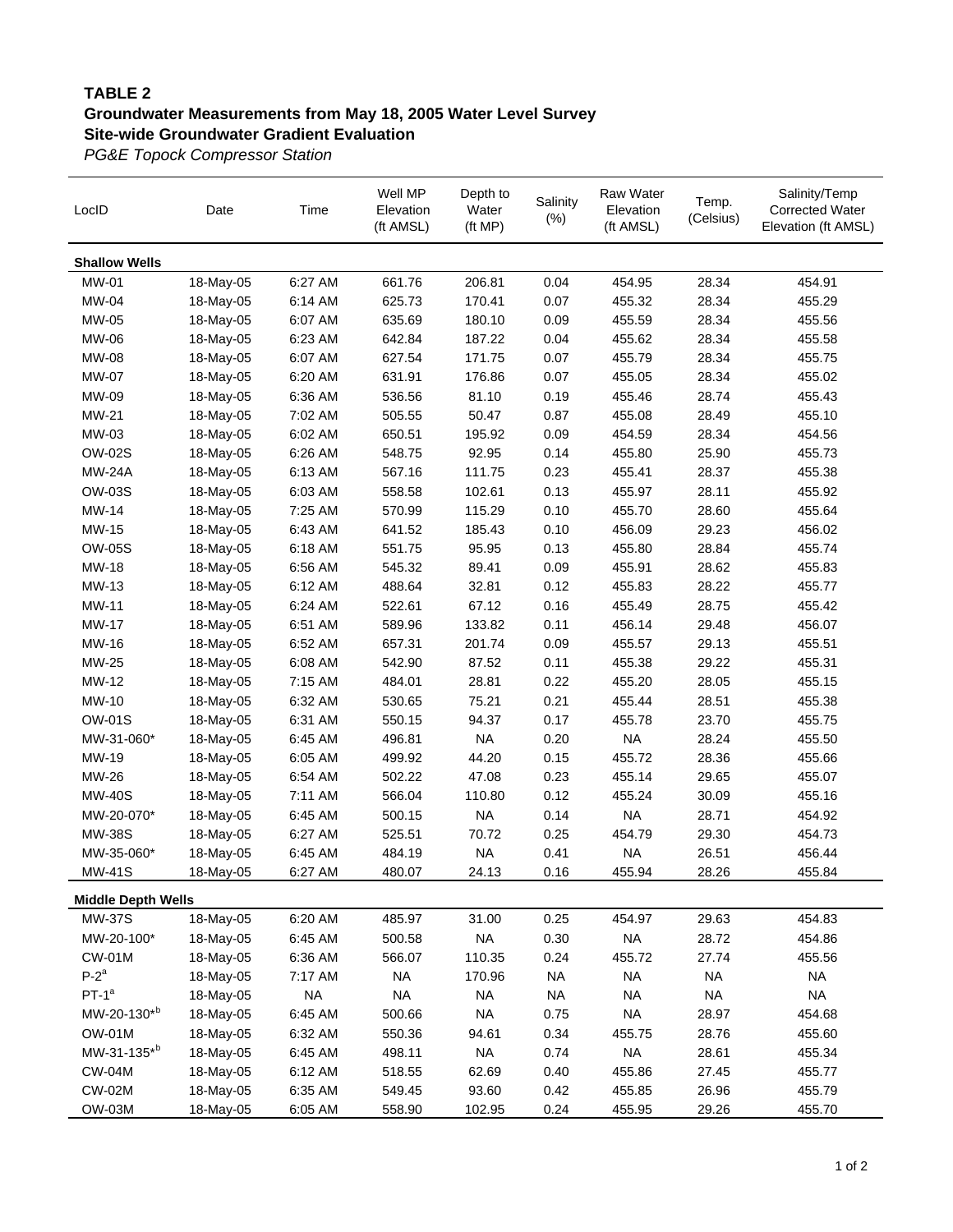### **TABLE 2 Groundwater Measurements from May 18, 2005 Water Level Survey Site-wide Groundwater Gradient Evaluation**

*PG&E Topock Compressor Station*

| LocID                     | Date      | Time      | Well MP<br>Elevation<br>(ft AMSL) | Depth to<br>Water<br>(ft MP) | Salinity<br>$(\%)$ | <b>Raw Water</b><br>Elevation<br>(ft AMSL) | Temp.<br>(Celsius) | Salinity/Temp<br><b>Corrected Water</b><br>Elevation (ft AMSL) |
|---------------------------|-----------|-----------|-----------------------------------|------------------------------|--------------------|--------------------------------------------|--------------------|----------------------------------------------------------------|
| <b>Shallow Wells</b>      |           |           |                                   |                              |                    |                                            |                    |                                                                |
| MW-01                     | 18-May-05 | 6:27 AM   | 661.76                            | 206.81                       | 0.04               | 454.95                                     | 28.34              | 454.91                                                         |
| MW-04                     | 18-May-05 | 6:14 AM   | 625.73                            | 170.41                       | 0.07               | 455.32                                     | 28.34              | 455.29                                                         |
| MW-05                     | 18-May-05 | 6:07 AM   | 635.69                            | 180.10                       | 0.09               | 455.59                                     | 28.34              | 455.56                                                         |
| MW-06                     | 18-May-05 | 6:23 AM   | 642.84                            | 187.22                       | 0.04               | 455.62                                     | 28.34              | 455.58                                                         |
| MW-08                     | 18-May-05 | 6:07 AM   | 627.54                            | 171.75                       | 0.07               | 455.79                                     | 28.34              | 455.75                                                         |
| MW-07                     | 18-May-05 | 6:20 AM   | 631.91                            | 176.86                       | 0.07               | 455.05                                     | 28.34              | 455.02                                                         |
| MW-09                     | 18-May-05 | 6:36 AM   | 536.56                            | 81.10                        | 0.19               | 455.46                                     | 28.74              | 455.43                                                         |
| MW-21                     | 18-May-05 | 7:02 AM   | 505.55                            | 50.47                        | 0.87               | 455.08                                     | 28.49              | 455.10                                                         |
| MW-03                     | 18-May-05 | 6:02 AM   | 650.51                            | 195.92                       | 0.09               | 454.59                                     | 28.34              | 454.56                                                         |
| <b>OW-02S</b>             | 18-May-05 | 6:26 AM   | 548.75                            | 92.95                        | 0.14               | 455.80                                     | 25.90              | 455.73                                                         |
| <b>MW-24A</b>             | 18-May-05 | 6:13 AM   | 567.16                            | 111.75                       | 0.23               | 455.41                                     | 28.37              | 455.38                                                         |
| <b>OW-03S</b>             | 18-May-05 | 6:03 AM   | 558.58                            | 102.61                       | 0.13               | 455.97                                     | 28.11              | 455.92                                                         |
| MW-14                     | 18-May-05 | 7:25 AM   | 570.99                            | 115.29                       | 0.10               | 455.70                                     | 28.60              | 455.64                                                         |
| MW-15                     | 18-May-05 | 6:43 AM   | 641.52                            | 185.43                       | 0.10               | 456.09                                     | 29.23              | 456.02                                                         |
| <b>OW-05S</b>             | 18-May-05 | 6:18 AM   | 551.75                            | 95.95                        | 0.13               | 455.80                                     | 28.84              | 455.74                                                         |
| <b>MW-18</b>              | 18-May-05 | 6:56 AM   | 545.32                            | 89.41                        | 0.09               | 455.91                                     | 28.62              | 455.83                                                         |
| MW-13                     | 18-May-05 | 6:12 AM   | 488.64                            | 32.81                        | 0.12               | 455.83                                     | 28.22              | 455.77                                                         |
| MW-11                     | 18-May-05 | 6:24 AM   | 522.61                            | 67.12                        | 0.16               | 455.49                                     | 28.75              | 455.42                                                         |
| MW-17                     | 18-May-05 | 6:51 AM   | 589.96                            | 133.82                       | 0.11               | 456.14                                     | 29.48              | 456.07                                                         |
| MW-16                     | 18-May-05 | 6:52 AM   | 657.31                            | 201.74                       | 0.09               | 455.57                                     | 29.13              | 455.51                                                         |
| MW-25                     | 18-May-05 | 6:08 AM   | 542.90                            | 87.52                        | 0.11               | 455.38                                     | 29.22              | 455.31                                                         |
| MW-12                     | 18-May-05 | 7:15 AM   | 484.01                            | 28.81                        | 0.22               | 455.20                                     | 28.05              | 455.15                                                         |
| MW-10                     | 18-May-05 | 6:32 AM   | 530.65                            | 75.21                        | 0.21               | 455.44                                     | 28.51              | 455.38                                                         |
| <b>OW-01S</b>             | 18-May-05 | 6:31 AM   | 550.15                            | 94.37                        | 0.17               | 455.78                                     | 23.70              | 455.75                                                         |
| MW-31-060*                | 18-May-05 | 6:45 AM   | 496.81                            | <b>NA</b>                    | 0.20               | <b>NA</b>                                  | 28.24              | 455.50                                                         |
| MW-19                     | 18-May-05 | 6:05 AM   | 499.92                            | 44.20                        | 0.15               | 455.72                                     | 28.36              | 455.66                                                         |
| MW-26                     | 18-May-05 | 6:54 AM   | 502.22                            | 47.08                        | 0.23               | 455.14                                     | 29.65              | 455.07                                                         |
| <b>MW-40S</b>             | 18-May-05 | 7:11 AM   | 566.04                            | 110.80                       | 0.12               | 455.24                                     | 30.09              | 455.16                                                         |
| MW-20-070*                | 18-May-05 | 6:45 AM   | 500.15                            | <b>NA</b>                    | 0.14               | <b>NA</b>                                  | 28.71              | 454.92                                                         |
| <b>MW-38S</b>             | 18-May-05 | 6:27 AM   | 525.51                            | 70.72                        | 0.25               | 454.79                                     | 29.30              | 454.73                                                         |
| MW-35-060*                | 18-May-05 | 6:45 AM   | 484.19                            | <b>NA</b>                    | 0.41               | <b>NA</b>                                  | 26.51              | 456.44                                                         |
| <b>MW-41S</b>             | 18-May-05 | 6:27 AM   | 480.07                            | 24.13                        | 0.16               | 455.94                                     | 28.26              | 455.84                                                         |
| <b>Middle Depth Wells</b> |           |           |                                   |                              |                    |                                            |                    |                                                                |
| <b>MW-37S</b>             | 18-May-05 | 6:20 AM   | 485.97                            | 31.00                        | 0.25               | 454.97                                     | 29.63              | 454.83                                                         |
| MW-20-100*                | 18-May-05 | 6:45 AM   | 500.58                            | <b>NA</b>                    | 0.30               | <b>NA</b>                                  | 28.72              | 454.86                                                         |
| <b>CW-01M</b>             | 18-May-05 | 6:36 AM   | 566.07                            | 110.35                       | 0.24               | 455.72                                     | 27.74              | 455.56                                                         |
| $P-2^a$                   | 18-May-05 | 7:17 AM   | <b>NA</b>                         | 170.96                       | <b>NA</b>          | <b>NA</b>                                  | <b>NA</b>          | <b>NA</b>                                                      |
| $PT-1a$                   | 18-May-05 | <b>NA</b> | <b>NA</b>                         | <b>NA</b>                    | <b>NA</b>          | <b>NA</b>                                  | <b>NA</b>          | <b>NA</b>                                                      |
| MW-20-130*b               | 18-May-05 | 6:45 AM   | 500.66                            | <b>NA</b>                    | 0.75               | <b>NA</b>                                  | 28.97              | 454.68                                                         |
| <b>OW-01M</b>             | 18-May-05 | 6:32 AM   | 550.36                            | 94.61                        | 0.34               | 455.75                                     | 28.76              | 455.60                                                         |
| MW-31-135*b               | 18-May-05 | 6:45 AM   | 498.11                            | <b>NA</b>                    | 0.74               | $\sf NA$                                   | 28.61              | 455.34                                                         |
| <b>CW-04M</b>             | 18-May-05 | 6:12 AM   | 518.55                            | 62.69                        | 0.40               | 455.86                                     | 27.45              | 455.77                                                         |
| <b>CW-02M</b>             | 18-May-05 | 6:35 AM   | 549.45                            | 93.60                        | 0.42               | 455.85                                     | 26.96              | 455.79                                                         |
| OW-03M                    | 18-May-05 | 6:05 AM   | 558.90                            | 102.95                       | 0.24               | 455.95                                     | 29.26              | 455.70                                                         |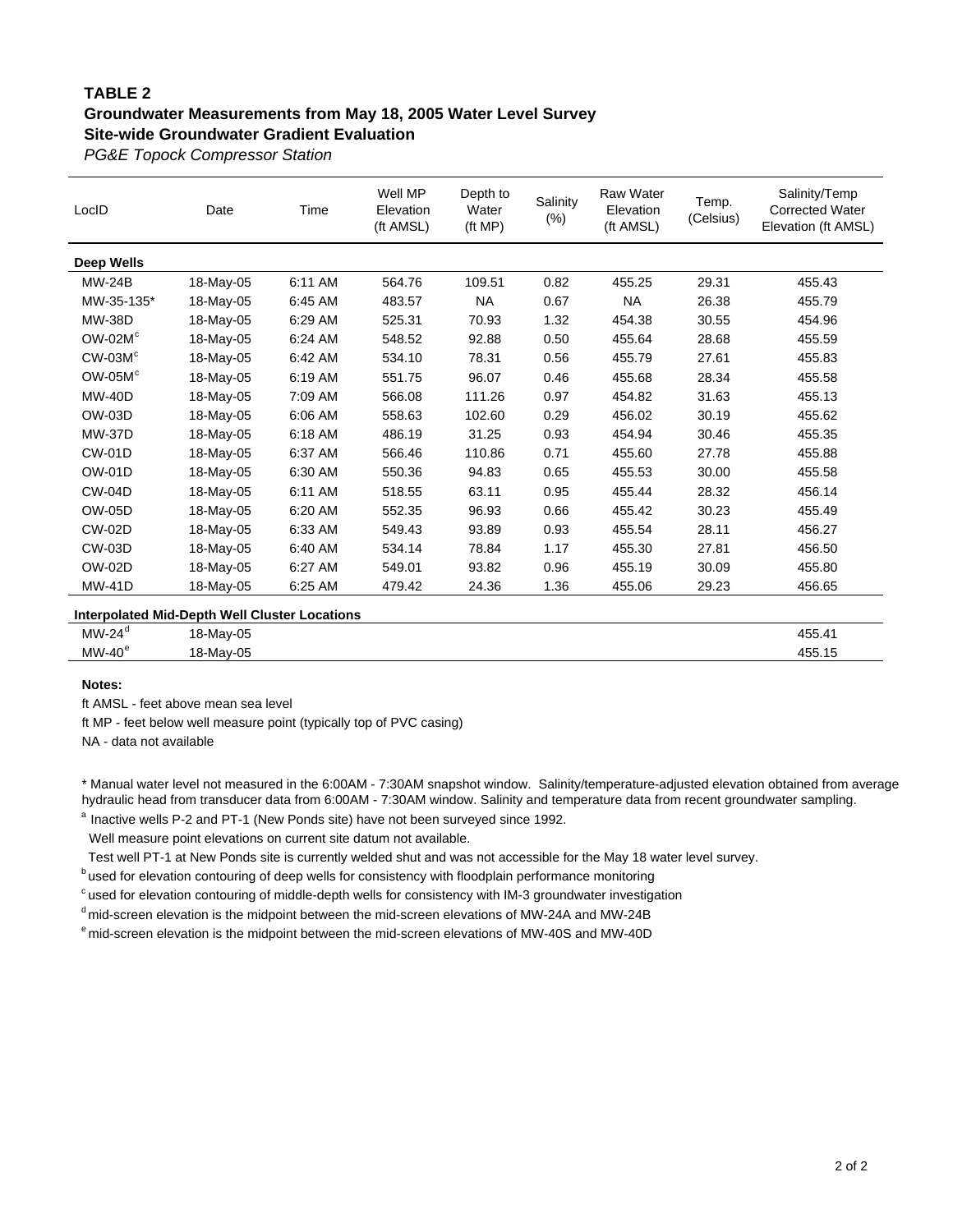### **TABLE 2 Groundwater Measurements from May 18, 2005 Water Level Survey Site-wide Groundwater Gradient Evaluation**

*PG&E Topock Compressor Station*

| LocID                                         | Date      | Time    | Well MP<br>Elevation<br>(ft AMSL) | Depth to<br>Water<br>(ft MP) | Salinity<br>$(\%)$ | <b>Raw Water</b><br>Elevation<br>(ft AMSL) | Temp.<br>(Celsius) | Salinity/Temp<br><b>Corrected Water</b><br>Elevation (ft AMSL) |
|-----------------------------------------------|-----------|---------|-----------------------------------|------------------------------|--------------------|--------------------------------------------|--------------------|----------------------------------------------------------------|
| Deep Wells                                    |           |         |                                   |                              |                    |                                            |                    |                                                                |
| <b>MW-24B</b>                                 | 18-May-05 | 6:11 AM | 564.76                            | 109.51                       | 0.82               | 455.25                                     | 29.31              | 455.43                                                         |
| MW-35-135*                                    | 18-May-05 | 6:45 AM | 483.57                            | NA                           | 0.67               | <b>NA</b>                                  | 26.38              | 455.79                                                         |
| <b>MW-38D</b>                                 | 18-May-05 | 6:29 AM | 525.31                            | 70.93                        | 1.32               | 454.38                                     | 30.55              | 454.96                                                         |
| $OW-02Mc$                                     | 18-May-05 | 6:24 AM | 548.52                            | 92.88                        | 0.50               | 455.64                                     | 28.68              | 455.59                                                         |
| $CW-03Mc$                                     | 18-May-05 | 6:42 AM | 534.10                            | 78.31                        | 0.56               | 455.79                                     | 27.61              | 455.83                                                         |
| $OW-05Mc$                                     | 18-May-05 | 6:19 AM | 551.75                            | 96.07                        | 0.46               | 455.68                                     | 28.34              | 455.58                                                         |
| <b>MW-40D</b>                                 | 18-May-05 | 7:09 AM | 566.08                            | 111.26                       | 0.97               | 454.82                                     | 31.63              | 455.13                                                         |
| <b>OW-03D</b>                                 | 18-May-05 | 6:06 AM | 558.63                            | 102.60                       | 0.29               | 456.02                                     | 30.19              | 455.62                                                         |
| <b>MW-37D</b>                                 | 18-May-05 | 6:18 AM | 486.19                            | 31.25                        | 0.93               | 454.94                                     | 30.46              | 455.35                                                         |
| <b>CW-01D</b>                                 | 18-May-05 | 6:37 AM | 566.46                            | 110.86                       | 0.71               | 455.60                                     | 27.78              | 455.88                                                         |
| <b>OW-01D</b>                                 | 18-May-05 | 6:30 AM | 550.36                            | 94.83                        | 0.65               | 455.53                                     | 30.00              | 455.58                                                         |
| <b>CW-04D</b>                                 | 18-May-05 | 6:11 AM | 518.55                            | 63.11                        | 0.95               | 455.44                                     | 28.32              | 456.14                                                         |
| <b>OW-05D</b>                                 | 18-May-05 | 6:20 AM | 552.35                            | 96.93                        | 0.66               | 455.42                                     | 30.23              | 455.49                                                         |
| <b>CW-02D</b>                                 | 18-May-05 | 6:33 AM | 549.43                            | 93.89                        | 0.93               | 455.54                                     | 28.11              | 456.27                                                         |
| <b>CW-03D</b>                                 | 18-May-05 | 6:40 AM | 534.14                            | 78.84                        | 1.17               | 455.30                                     | 27.81              | 456.50                                                         |
| <b>OW-02D</b>                                 | 18-May-05 | 6:27 AM | 549.01                            | 93.82                        | 0.96               | 455.19                                     | 30.09              | 455.80                                                         |
| <b>MW-41D</b>                                 | 18-May-05 | 6:25 AM | 479.42                            | 24.36                        | 1.36               | 455.06                                     | 29.23              | 456.65                                                         |
| Internolated Mid-Denth Well Cluster Locations |           |         |                                   |                              |                    |                                            |                    |                                                                |

|                 | microgiated mid-Depth from Oldsier Eocations |        |
|-----------------|----------------------------------------------|--------|
| $MW-24^{\circ}$ | 18-May-05                                    | 455.4  |
| $MW-40^e$       | 18-May-05                                    | 455.15 |

#### **Notes:**

ft AMSL - feet above mean sea level

ft MP - feet below well measure point (typically top of PVC casing)

NA - data not available

\* Manual water level not measured in the 6:00AM - 7:30AM snapshot window. Salinity/temperature-adjusted elevation obtained from average hydraulic head from transducer data from 6:00AM - 7:30AM window. Salinity and temperature data from recent groundwater sampling.

<sup>a</sup> Inactive wells P-2 and PT-1 (New Ponds site) have not been surveyed since 1992.

Well measure point elevations on current site datum not available.

Test well PT-1 at New Ponds site is currently welded shut and was not accessible for the May 18 water level survey.

**b** used for elevation contouring of deep wells for consistency with floodplain performance monitoring

 $c$  used for elevation contouring of middle-depth wells for consistency with IM-3 groundwater investigation

d mid-screen elevation is the midpoint between the mid-screen elevations of MW-24A and MW-24B

e mid-screen elevation is the midpoint between the mid-screen elevations of MW-40S and MW-40D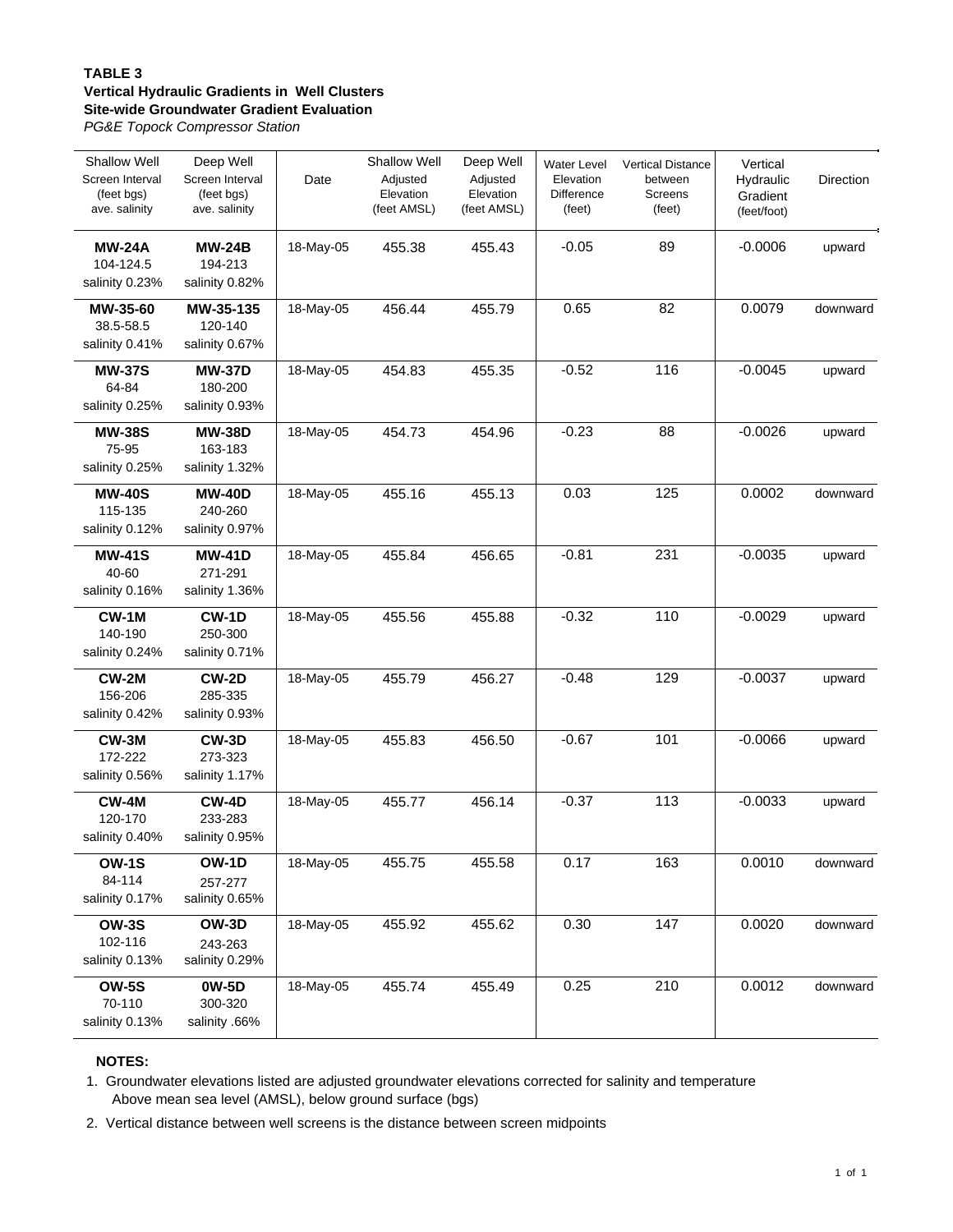#### **TABLE 3**

#### **Vertical Hydraulic Gradients in Well Clusters Site-wide Groundwater Gradient Evaluation**

*PG&E Topock Compressor Station*

| <b>Shallow Well</b><br>Screen Interval<br>(feet bgs)<br>ave. salinity | Deep Well<br>Screen Interval<br>(feet bgs)<br>ave. salinity | Date      | <b>Shallow Well</b><br>Adjusted<br>Elevation<br>(feet AMSL) | Deep Well<br>Adjusted<br>Elevation<br>(feet AMSL) | <b>Water Level</b><br>Elevation<br><b>Difference</b><br>(feet) | <b>Vertical Distance</b><br>between<br>Screens<br>(feet) | Vertical<br>Hydraulic<br>Gradient<br>(feet/foot) | Direction |
|-----------------------------------------------------------------------|-------------------------------------------------------------|-----------|-------------------------------------------------------------|---------------------------------------------------|----------------------------------------------------------------|----------------------------------------------------------|--------------------------------------------------|-----------|
| <b>MW-24A</b><br>104-124.5<br>salinity 0.23%                          | <b>MW-24B</b><br>194-213<br>salinity 0.82%                  | 18-May-05 | 455.38                                                      | 455.43                                            | $-0.05$                                                        | 89                                                       | $-0.0006$                                        | upward    |
| MW-35-60<br>38.5-58.5<br>salinity 0.41%                               | MW-35-135<br>120-140<br>salinity 0.67%                      | 18-May-05 | 456.44                                                      | 455.79                                            | 0.65                                                           | 82                                                       | 0.0079                                           | downward  |
| <b>MW-37S</b><br>64-84<br>salinity 0.25%                              | <b>MW-37D</b><br>180-200<br>salinity 0.93%                  | 18-May-05 | 454.83                                                      | 455.35                                            | $-0.52$                                                        | 116                                                      | $-0.0045$                                        | upward    |
| <b>MW-38S</b><br>75-95<br>salinity 0.25%                              | <b>MW-38D</b><br>163-183<br>salinity 1.32%                  | 18-May-05 | 454.73                                                      | 454.96                                            | $-0.23$                                                        | 88                                                       | $-0.0026$                                        | upward    |
| <b>MW-40S</b><br>115-135<br>salinity 0.12%                            | <b>MW-40D</b><br>240-260<br>salinity 0.97%                  | 18-May-05 | 455.16                                                      | 455.13                                            | 0.03                                                           | 125                                                      | 0.0002                                           | downward  |
| <b>MW-41S</b><br>40-60<br>salinity 0.16%                              | <b>MW-41D</b><br>271-291<br>salinity 1.36%                  | 18-May-05 | 455.84                                                      | 456.65                                            | $-0.81$                                                        | 231                                                      | $-0.0035$                                        | upward    |
| CW-1M<br>140-190<br>salinity 0.24%                                    | <b>CW-1D</b><br>250-300<br>salinity 0.71%                   | 18-May-05 | 455.56                                                      | 455.88                                            | $-0.32$                                                        | 110                                                      | $-0.0029$                                        | upward    |
| CW-2M<br>156-206<br>salinity 0.42%                                    | <b>CW-2D</b><br>285-335<br>salinity 0.93%                   | 18-May-05 | 455.79                                                      | 456.27                                            | $-0.48$                                                        | 129                                                      | $-0.0037$                                        | upward    |
| CW-3M<br>172-222<br>salinity 0.56%                                    | CW-3D<br>273-323<br>salinity 1.17%                          | 18-May-05 | 455.83                                                      | 456.50                                            | $-0.67$                                                        | 101                                                      | $-0.0066$                                        | upward    |
| CW-4M<br>120-170<br>salinity 0.40%                                    | CW-4D<br>233-283<br>salinity 0.95%                          | 18-May-05 | 455.77                                                      | 456.14                                            | $-0.37$                                                        | 113                                                      | $-0.0033$                                        | upward    |
| <b>OW-1S</b><br>84-114<br>salinity 0.17%                              | OW-1D<br>257-277<br>salinity 0.65%                          | 18-May-05 | 455.75                                                      | 455.58                                            | 0.17                                                           | 163                                                      | 0.0010                                           | downward  |
| <b>OW-3S</b><br>102-116<br>salinity 0.13%                             | OW-3D<br>243-263<br>salinity 0.29%                          | 18-May-05 | 455.92                                                      | 455.62                                            | 0.30                                                           | 147                                                      | 0.0020                                           | downward  |
| <b>OW-5S</b><br>70-110<br>salinity 0.13%                              | 0W-5D<br>300-320<br>salinity .66%                           | 18-May-05 | 455.74                                                      | 455.49                                            | 0.25                                                           | 210                                                      | 0.0012                                           | downward  |

#### **NOTES:**

1. Groundwater elevations listed are adjusted groundwater elevations corrected for salinity and temperature Above mean sea level (AMSL), below ground surface (bgs)

2. Vertical distance between well screens is the distance between screen midpoints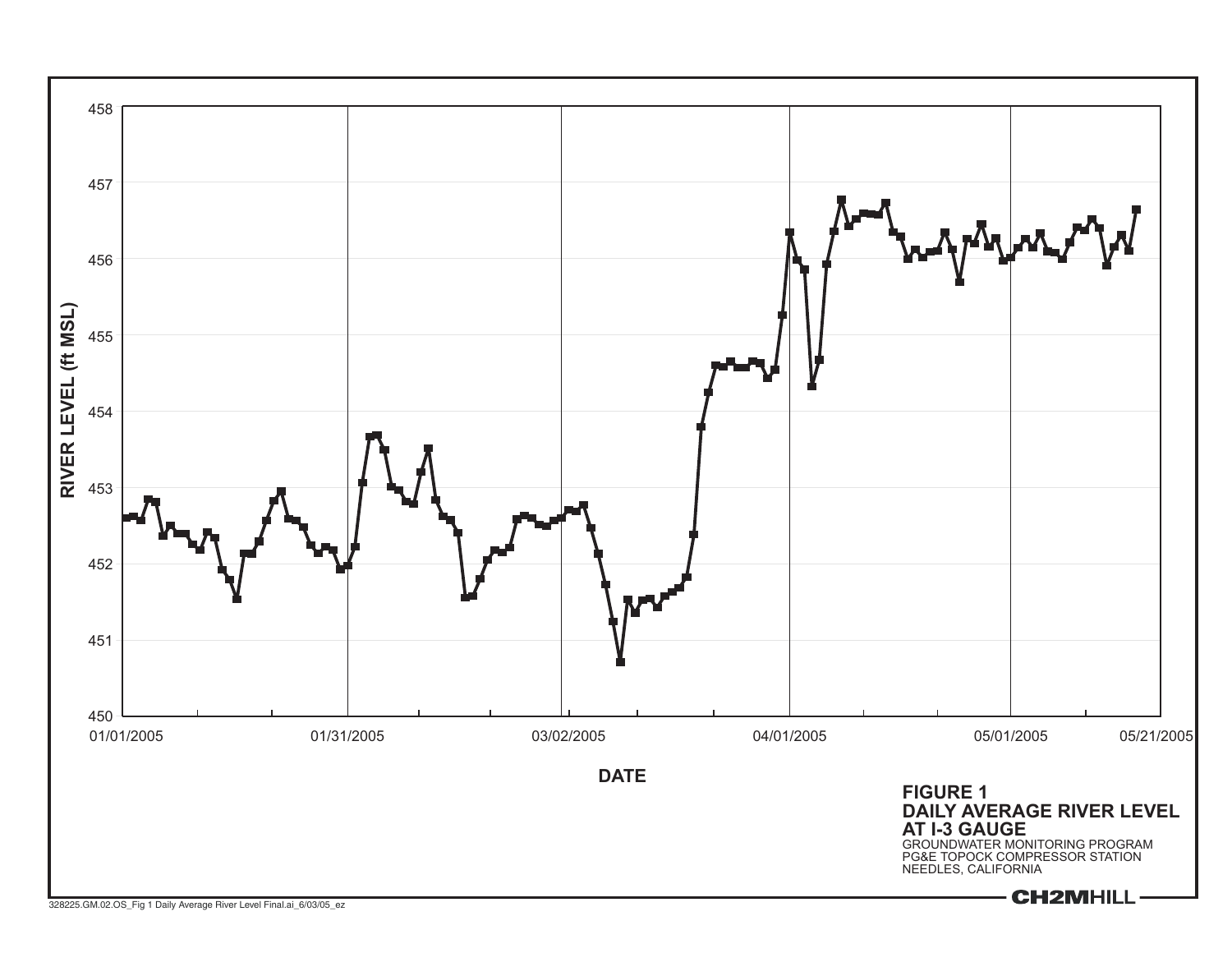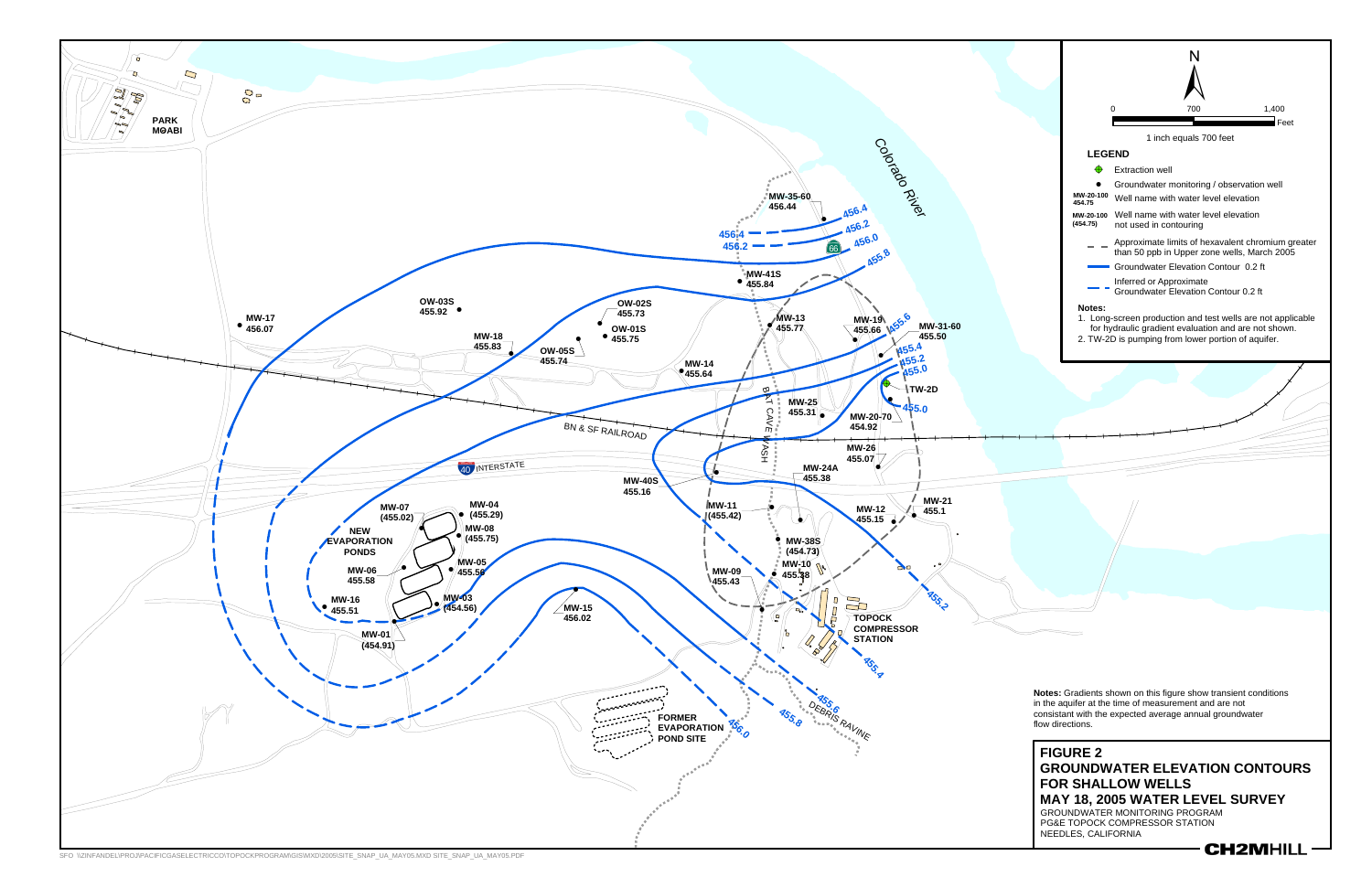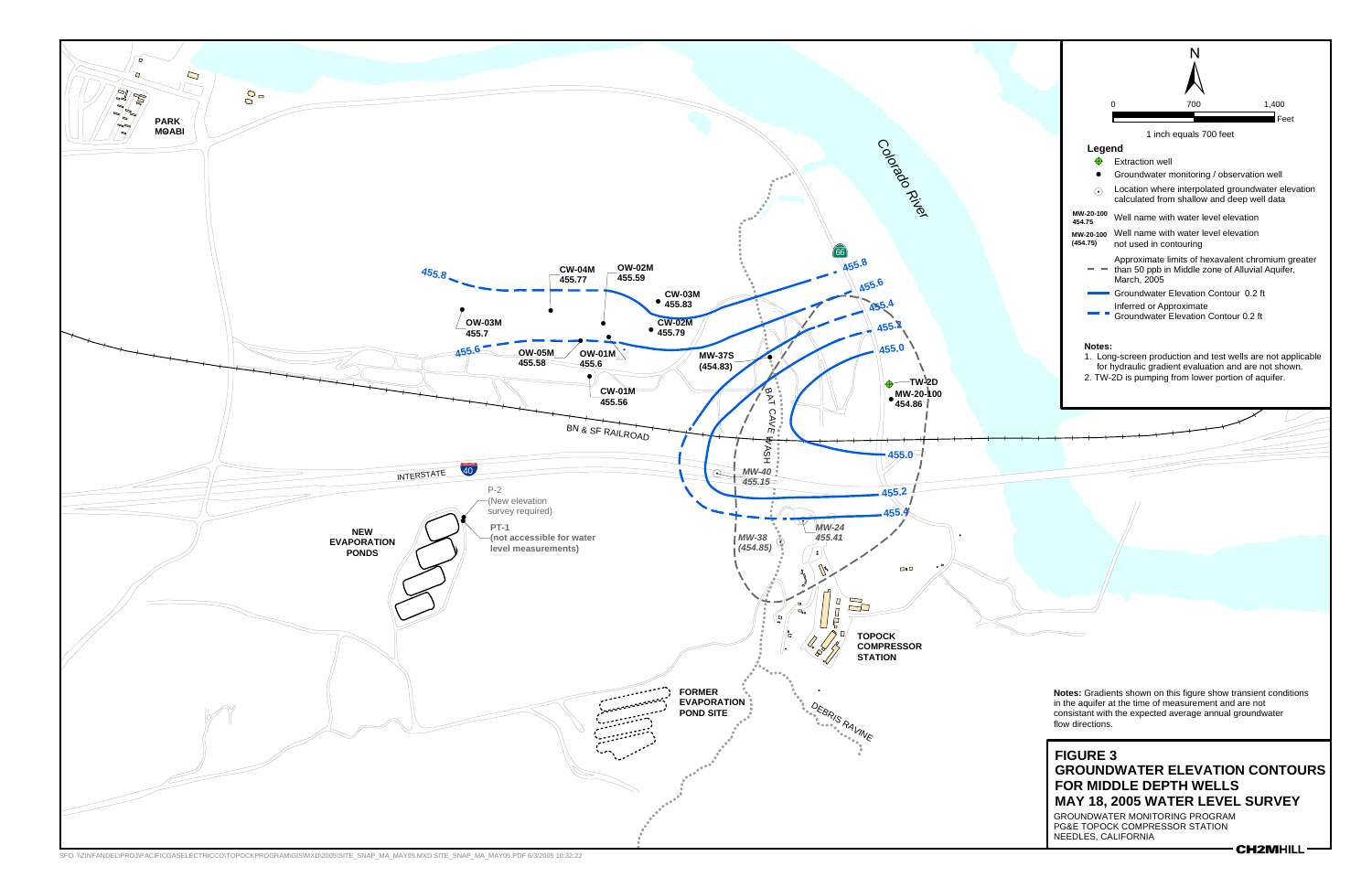SFO \\ZINFANDEL\PROJ\PACIFICGASELECTRICCO\TOPOCKPROGRAM\GIS\MXD\2005\SITE\_SNAP\_MA\_MAY05.MXD SITE\_SNAP\_MA\_MAY05.PDF 6/3/2005 10:32:22